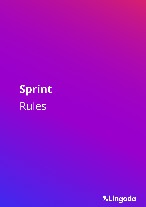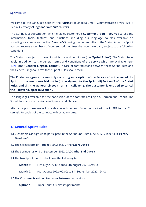Welcome to the Language Sprint™ (the "**Sprint**") of Lingoda GmbH, Zimmerstrasse 67/69, 10117 Berlin, Germany ("**Lingoda**", "**we**", "**us**" "**our/s**").

The Sprint is a subscription which enables customers ("**Customer**", "**you**", "**your/s**") to use the information, tools, features and functions, including our language courses available on [www.lingoda.com](http://www.lingoda.com) (together the "**Service/s**") during the two months of the Sprint. After the Sprint you can receive a cashback of your subscription fees that you have paid, subject to the following conditions.

The Sprint is subject to these Sprint terms and conditions (the "**Sprint Rules**"). The Sprint Rules apply in addition to the general terms and conditions of the Service which are available here: [\[Link](https://www.lingoda.com/en/terms/)] (the "**General Lingoda Terms**"). In case of contradictions between these Sprint Rules and the General Lingoda Terms these Sprint Rules shall prevail.

**The Customer agrees to a monthly recurring subscription of the Service after the end of the** Sprint to the conditions laid out in (i) the sign-up for the Sprint, (ii) Section 7 of the Sprint **Rules and (iii) the General Lingoda Terms ("Rollover"). The Customer is entitled to cancel the Rollover subject to Section 7.**

The languages available for the conclusion of the contract are English, German and French. The Sprint Rules are also available in Spanish and Chinese.

After your purchase, we will provide you with copies of your contract with us in PDF format. You can ask for copies of the contract with us at any time.

## **1. General Sprint Rules**

- **1.1** Customers can sign up to participate in the Sprint until 30th June 2022, 24:00 (CET), ("**Entry Deadline**").
- **1.2** The Sprint starts on 11th July 2022, 00:00 (the "**Start Date**").
- **1.3** The Sprint ends on 8th September 2022, 24:00, (the "**End Date**").

**1.4** The two Sprint months shall have the following terms:

- **Month 1**: 11th July 2022 (00:00) to 9th August 2022, (24:00)
- **Month 2**: 10th August 2022 (00:00) to 8th September 2022, (24:00)
- **1.5** The Customer is entitled to choose between two options:
	- **Option 1:** Super Sprint (30 classes per month)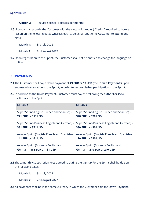- **Option 2:** Regular Sprint (15 classes per month)
- **1.6** Lingoda shall provide the Customer with the electronic credits ("Credits") required to book a lesson on the following dates whereas each Credit shall entitle the Customer to attend one class:
	- **Month 1:** 3rd July 2022
	- **Month 2:** 2nd August 2022
- **1.7** Upon registration to the Sprint, the Customer shall not be entitled to change the language or option.

# **2. PAYMENTS**

- **2.1** The Customer shall pay a down payment of **49 EUR** or **59 USD** (the "**Down Payment**") upon successful registration to the Sprint, in order to secure his/her participation in the Sprint.
- **2.2** In addition to the Down Payment, Customer must pay the following fees (the "**Fees**") to participate in the Sprint:

| <b>Month 1</b>                                                     | <b>Month 2</b>                                                     |
|--------------------------------------------------------------------|--------------------------------------------------------------------|
| Super Sprint (English, French and Spanish) -<br>271 EUR or 311 USD | Super Sprint (English, French and Spanish) -<br>320 EUR or 370 USD |
|                                                                    |                                                                    |
| Super Sprint (Business English and German) -                       | Super Sprint (Business English and German) -                       |
| 331 EUR or 371 USD                                                 | 380 EUR or 430 USD                                                 |
| regular Sprint (English, French and Spanish) -                     | regular Sprint (English, French and Spanish) -                     |
| 141 EUR or 161 USD                                                 | 190 EUR or 220 USD                                                 |
| regular Sprint (Business English and                               | regular Sprint (Business English and                               |
| German) - 161 EUR or 181 USD                                       | German) - 210 EUR or 240 USD                                       |

- **2.3** The 2 monthly subscription Fees agreed to during the sign-up for the Sprint shall be due on the following dates:
	- **Month 1:** 3rd July 2022
	- **Month 2:** 2nd August 2022
- **2.4** All payments shall be in the same currency in which the Customer paid the Down Payment.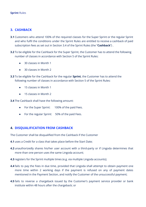# **3. CASHBACK**

- **3.1** Customers who attend 100% of the required classes for the Super Sprint or the regular Sprint and who fulfil the conditions under the Sprint Rules are entitled to receive a cashback of paid subscription fees as set out in Section 3.4 of the Sprint Rules (the "**Cashback**") .
- **3.2** To be eligible for the Cashback for the Super Sprint, the Customer has to attend the following number of classes in accordance with Section 5 of the Sprint Rules:
	- 30 classes in Month 1
	- 30 classes in Month 2
- **3.3** To be eligible for the Cashback for the regular **Sprint**, the Customer has to attend the following number of classes in accordance with Section 5 of the Sprint Rules:
	- 15 classes in Month 1
	- 15 classes in Month 2

**3.4** The Cashback shall have the following amount:

- For the Super Sprint: 100% of the paid Fees.
- For the regular Sprint: 50% of the paid Fees.

## **4. DISQUALIFICATION FROM CASHBACK**

The Customer shall be disqualified from the Cashback if the Customer

- **4.1** uses a Credit for a class that takes place before the Start Date;
- **4.2** unauthorizedly shares his/her user account with a third-party or if Lingoda determines that more than one person uses the same Lingoda account;
- **4.3** registers for the Sprint multiple times (e.g. via multiple Lingoda accounts);
- **4.4** fails to pay the Fees in due time, provided that Lingoda shall attempt to obtain payment one more time within 2 working days if the payment is refused on any of payment dates mentioned in the Payment Section, and notify the Customer of the unsuccessful payment;
- **4.5** fails to reverse a chargeback issued by the Customer's payment service provider or bank institute within 48 hours after the chargeback; or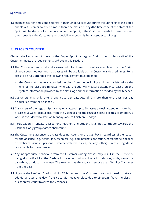**4.6** changes his/her time-zone settings in their Lingoda account during the Sprint since this could enable a Customer to attend more than one class per day (the time-zone at the start of the Sprint will be decisive for the duration of the Sprint; if the Customer needs to travel between time-zones it is the Customer's responsibility to book his/her classes accordingly).

### **5. CLASSES COUNTED**

Classes shall only count towards the Super Sprint or regular Sprint if each class visit of the Customer meets the requirements laid out in this Section:

- **5.1** The Customer has to attend classes fully for them to count as completed for the Sprint. Lingoda does not warrant that classes will be available at the Customer's desired times. For a class to be fully attended the following requirement must be met:
	- the Customer has fully attended the class from the beginning and has not left before the end of the class (60 minutes) whereas Lingoda will measure attendance based on the system information provided by the class log and the information provided by the teacher.
- **5.2** Customers may only attend one class per day. Attending more than one class per day disqualifies from the Cashback.
- **5.3** Customers of the regular Sprint may only attend up to 5 classes a week. Attending more than 5 classes a week disqualifies from the Cashback for the regular Sprint. For this promotion, a week is considered to start on Mondays and to finish on Sundays.
- **5.4** Participation in private classes (one teacher, one student) shall not contribute towards the Cashback; only group classes shall count.
- **5.5** The Customer's absence to a class does not count for the Cashback, regardless of the reason for the absence (e.g. health, job, technical [e.g. bad internet connection, microphone, speaker or webcam issues], personal, weather-related issues, or any other), unless Lingoda is responsible for the absence.
- **5.6** Any inappropriate behaviour from the Customer during classes may result in the Customer being disqualified for the Cashback, including but not limited to abusive, rude, sexual or disturbing conduct in any way. The teacher has the right to remove the offending Customer from the class.
- **5.7** Lingoda shall refund Credits within 72 hours and the Customer does not need to take an additional class that day if the class did not take place due to Lingoda's fault. The class in question will count towards the Cashback.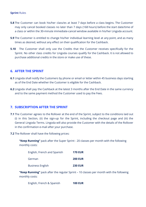- **5.8** The Customer can book his/her class/es at least 7 days before a class begins. The Customer may only cancel booked classes no later than 7 days (168 hours) before the start date/time of a class or within the 30-minute immediate-cancel window available in his/her Lingoda account.
- **5.9** The Customer is entitled to change his/her individual learning level at any point, and as many times as desired, without any effect on their qualification for the Cashback.
- **5.10** The Customer shall only use the Credits that the Customer receives specifically for the Sprint. No other class credits for Lingoda courses qualify for the Cashback. It is not allowed to purchase additional credits in the store or make use of these.

## **6. AFTER THE SPRINT**

- **6.1** Lingoda shall notify the Customers by phone or email or letter within 45 business days starting as of the End Date whether the Customer is eligible for the Cashback.
- **6.2** Lingoda shall pay the Cashback at the latest 3 months after the End Date in the same currency and to the same payment method the Customer used to pay the Fees.

#### **7. SUBSCRIPTION AFTER THE SPRINT**

- **7.1** The Customer agrees to the Rollover at the end of the Sprint, subject to the conditions laid out (i) in this Section, (ii) the sign-up for the Sprint, including the checkout page and (iii) the General Lingoda Terms. Lingoda will also provide the Customer with the details of the Rollover in the confirmation e-mail after your purchase.
- **7.2** The Rollover shall have the following prices:

**"Keep Running"** pack after the Super Sprint - 20 classes per month with the following monthly costs:

| English, French and Spanish | <b>170 EUR</b> |
|-----------------------------|----------------|
| German                      | <b>200 EUR</b> |
| <b>Business English</b>     | <b>230 EUR</b> |

**"Keep Running"** pack after the regular Sprint – 10 classes per month with the following monthly costs:

English, French & Spanish **100 EUR**